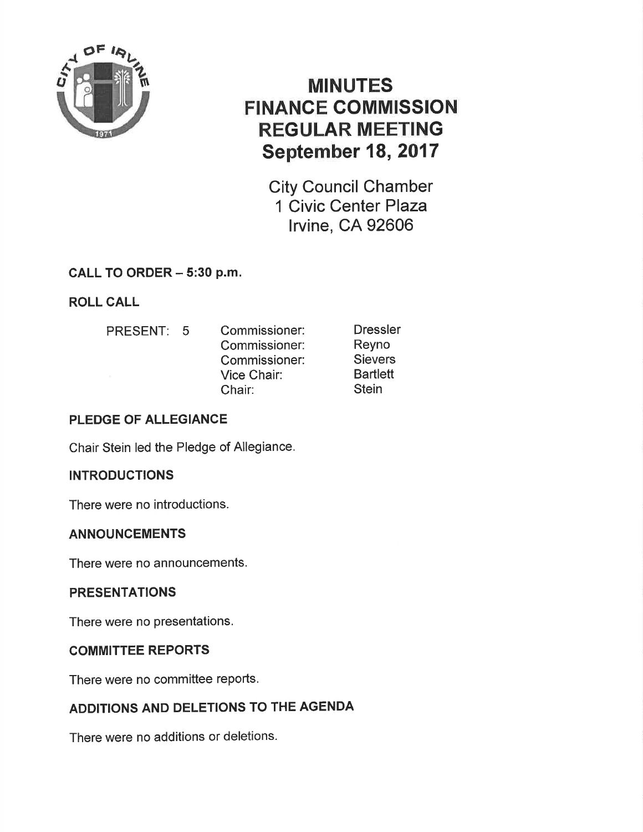

# MINUTES FINANCE COMMISSION REGULAR MEETING September 18, 2017

City Council Chamber 1 Civic Center Plaza lrvine, CA 92606

### CALL TO ORDER - 5:30 p.m.

ROLL CALL

- 
- PRESENT: 5 Commissioner: Commissioner: Commissioner: Vice Chair: Chair:

Dressler Reyno **Sievers Bartlett Stein** 

# PLEDGE OF ALLEGIANCE

Chair Stein led the Pledge of Allegiance.

### **INTRODUCTIONS**

There were no introductions.

### ANNOUNCEMENTS

There were no announcements.

### **PRESENTATIONS**

There were no presentations.

### COMMITTEE REPORTS

There were no committee reports.

# ADDITIONS AND DELETIONS TO THE AGENDA

There were no additions or deletions.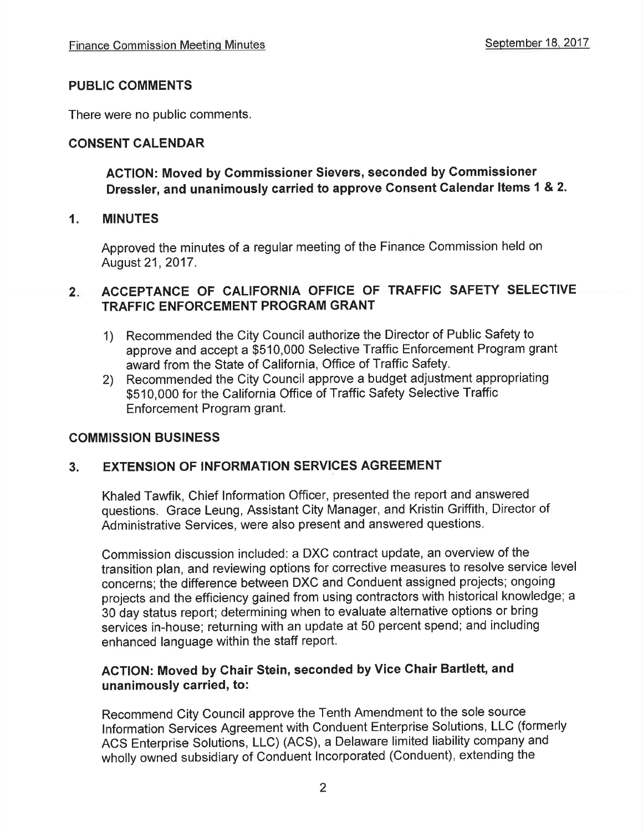#### PUBLIC COMMENTS

There were no public comments.

#### CONSENT CALENDAR

#### ACTION: Moved by Commissioner Sievers, seconded by Gommissioner Dressler, and unanimously carried to approve Consent Calendar ltems 1 & 2.

#### 1. MINUTES

Approved the minutes of a regular meeting of the Finance Commission held on August 21,2017.

#### $2<sub>1</sub>$ ACCEPTANCE OF GALIFORNIA OFFICE OF TRAFFIC SAFETY SELECTIVE TRAFFIC ENFORCEMENT PROGRAM GRANT

- 1) Recommended the City Council authorize the Director of Public Safety to approve and accept a \$510,000 Selective Traffic Enforcement Program grant award from the State of California, Office of Traffic Safety.
- 2) Recommended the City Council approve a budget adjustment appropriating \$510,000 for the California Office of Traffic Safety Selective Traffic Enforcement Program grant.

#### COMMISSION BUSINESS

#### 3. EXTENSION OF INFORMATION SERVICES AGREEMENT

Khaled Tawfik, Chief lnformation Officer, presented the report and answered questions. Grace Leung, Assistant City Manager, and Kristin Griffith, Director of Administrative Services, were also present and answered questions.

Commission discussion included: a DXC contract update, an overview of the transition plan, and reviewing options for corrective measures to resolve service level concerns; the difference between DXC and Conduent assigned projects; ongoing projects and the efficiency gained from using contractors with historical knowledge; a 30 day status report; determining when to evaluate alternative options or bring services in-house; returning with an update at 50 percent spend; and including enhanced language within the staff report.

#### AGTION: Moved by Chair Stein, seconded by Vice Ghair Bartlett, and unanimously carried, to:

Recommend City Council approve the Tenth Amendment to the sole source lnformation Services Agreement with Conduent Enterprise Solutions, LLC (formerly ACS Enterprise Solutions, LLC) (ACS), a Delaware limited liability company and wholly owned subsidiary of Conduent lncorporated (Conduent), extending the